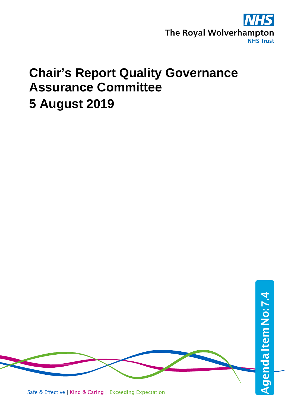

### **Chair's Report Quality Governance Assurance Committee 5 August 2019**

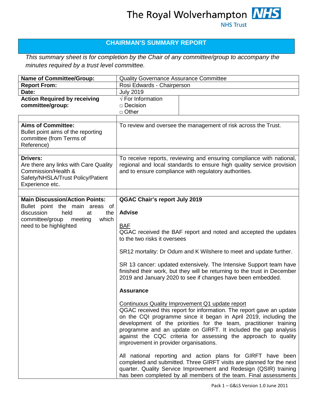### **CHAIRMAN'S SUMMARY REPORT**

*This summary sheet is for completion by the Chair of any committee/group to accompany the minutes required by a trust level committee.*

| <b>Name of Committee/Group:</b>                                                                                                    | Quality Governance Assurance Committee                                                                                                                                                                                                                                                                                                                                                                                                                                                                                                                                                                                                                                                                                                             |
|------------------------------------------------------------------------------------------------------------------------------------|----------------------------------------------------------------------------------------------------------------------------------------------------------------------------------------------------------------------------------------------------------------------------------------------------------------------------------------------------------------------------------------------------------------------------------------------------------------------------------------------------------------------------------------------------------------------------------------------------------------------------------------------------------------------------------------------------------------------------------------------------|
| <b>Report From:</b>                                                                                                                | Rosi Edwards - Chairperson                                                                                                                                                                                                                                                                                                                                                                                                                                                                                                                                                                                                                                                                                                                         |
| Date:                                                                                                                              | <b>July 2019</b>                                                                                                                                                                                                                                                                                                                                                                                                                                                                                                                                                                                                                                                                                                                                   |
| <b>Action Required by receiving</b><br>committee/group:                                                                            | $\sqrt{\overline{F}}$ For Information<br>□ Decision<br>$\Box$ Other                                                                                                                                                                                                                                                                                                                                                                                                                                                                                                                                                                                                                                                                                |
|                                                                                                                                    |                                                                                                                                                                                                                                                                                                                                                                                                                                                                                                                                                                                                                                                                                                                                                    |
| <b>Aims of Committee:</b><br>Bullet point aims of the reporting<br>committee (from Terms of<br>Reference)                          | To review and oversee the management of risk across the Trust.                                                                                                                                                                                                                                                                                                                                                                                                                                                                                                                                                                                                                                                                                     |
| Drivers:<br>Are there any links with Care Quality<br>Commission/Health &<br>Safety/NHSLA/Trust Policy/Patient<br>Experience etc.   | To receive reports, reviewing and ensuring compliance with national,<br>regional and local standards to ensure high quality service provision<br>and to ensure compliance with regulatory authorities.                                                                                                                                                                                                                                                                                                                                                                                                                                                                                                                                             |
| <b>Main Discussion/Action Points:</b>                                                                                              | <b>QGAC Chair's report July 2019</b>                                                                                                                                                                                                                                                                                                                                                                                                                                                                                                                                                                                                                                                                                                               |
| Bullet point the main areas of<br>discussion<br>held<br>the<br>at<br>which<br>committee/group<br>meeting<br>need to be highlighted | <b>Advise</b><br><b>BAF</b><br>QGAC received the BAF report and noted and accepted the updates<br>to the two risks it oversees                                                                                                                                                                                                                                                                                                                                                                                                                                                                                                                                                                                                                     |
|                                                                                                                                    | SR12 mortality: Dr Odum and K Wilshere to meet and update further.<br>SR 13 cancer: updated extensively. The Intensive Support team have<br>finished their work, but they will be returning to the trust in December<br>2019 and January 2020 to see if changes have been embedded.                                                                                                                                                                                                                                                                                                                                                                                                                                                                |
|                                                                                                                                    | <b>Assurance</b><br>Continuous Quality Improvement Q1 update report<br>QGAC received this report for information. The report gave an update<br>on the CQI programme since it began in April 2019, including the<br>development of the priorities for the team, practitioner training<br>programme and an update on GIRFT. It included the gap analysis<br>against the CQC criteria for assessing the approach to quality<br>improvement in provider organisations.<br>All national reporting and action plans for GIRFT have been<br>completed and submitted. Three GIRFT visits are planned for the next<br>quarter. Quality Service Improvement and Redesign (QSIR) training<br>has been completed by all members of the team. Final assessments |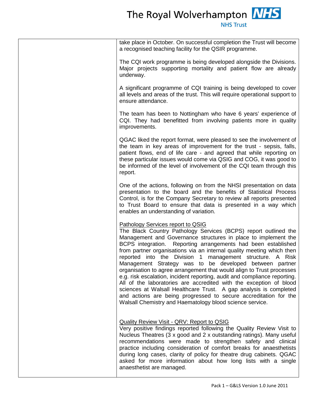# The Royal Wolverhampton **NHS**

| take place in October. On successful completion the Trust will become<br>a recognised teaching facility for the QSIR programme.<br>The CQI work programme is being developed alongside the Divisions.<br>Major projects supporting mortality and patient flow are already<br>underway.<br>A significant programme of CQI training is being developed to cover<br>all levels and areas of the trust. This will require operational support to<br>ensure attendance.                                                                                                                                                                                                                                                                                                                                                                                                           |
|------------------------------------------------------------------------------------------------------------------------------------------------------------------------------------------------------------------------------------------------------------------------------------------------------------------------------------------------------------------------------------------------------------------------------------------------------------------------------------------------------------------------------------------------------------------------------------------------------------------------------------------------------------------------------------------------------------------------------------------------------------------------------------------------------------------------------------------------------------------------------|
|                                                                                                                                                                                                                                                                                                                                                                                                                                                                                                                                                                                                                                                                                                                                                                                                                                                                              |
|                                                                                                                                                                                                                                                                                                                                                                                                                                                                                                                                                                                                                                                                                                                                                                                                                                                                              |
|                                                                                                                                                                                                                                                                                                                                                                                                                                                                                                                                                                                                                                                                                                                                                                                                                                                                              |
| The team has been to Nottingham who have 6 years' experience of<br>CQI. They had benefitted from involving patients more in quality<br>improvements.                                                                                                                                                                                                                                                                                                                                                                                                                                                                                                                                                                                                                                                                                                                         |
| QGAC liked the report format, were pleased to see the involvement of<br>the team in key areas of improvement for the trust - sepsis, falls,<br>patient flows, end of life care - and agreed that while reporting on<br>these particular issues would come via QSIG and COG, it was good to<br>be informed of the level of involvement of the CQI team through this<br>report.                                                                                                                                                                                                                                                                                                                                                                                                                                                                                                |
| One of the actions, following on from the NHSI presentation on data<br>presentation to the board and the benefits of Statistical Process<br>Control, is for the Company Secretary to review all reports presented<br>to Trust Board to ensure that data is presented in a way which<br>enables an understanding of variation.                                                                                                                                                                                                                                                                                                                                                                                                                                                                                                                                                |
| Pathology Services report to QSIG<br>The Black Country Pathology Services (BCPS) report outlined the<br>Management and Governance structures in place to implement the<br>BCPS integration. Reporting arrangements had been established<br>from partner organisations via an internal quality meeting which then<br>reported into the Division 1<br>management structure. A Risk<br>Management Strategy was to be developed between partner<br>organisation to agree arrangement that would align to Trust processes<br>e.g. risk escalation, incident reporting, audit and compliance reporting.<br>All of the laboratories are accredited with the exception of blood<br>sciences at Walsall Healthcare Trust. A gap analysis is completed<br>and actions are being progressed to secure accreditation for the<br>Walsall Chemistry and Haematology blood science service. |
| <b>Quality Review Visit - QRV: Report to QSIG</b><br>Very positive findings reported following the Quality Review Visit to<br>Nucleus Theatres (3 x good and 2 x outstanding ratings). Many useful<br>recommendations were made to strengthen safety and clinical<br>practice including consideration of comfort breaks for anaesthetists<br>during long cases, clarity of policy for theatre drug cabinets. QGAC<br>asked for more information about how long lists with a single<br>anaesthetist are managed.                                                                                                                                                                                                                                                                                                                                                              |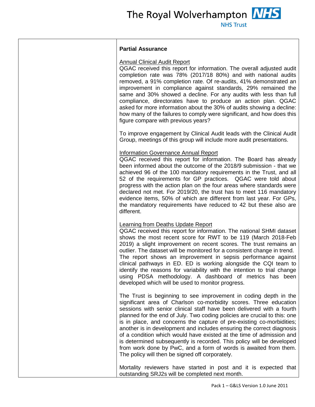The Royal Wolverhampton **NHS** 

**NHS Trust** 

#### **Partial Assurance**

#### Annual Clinical Audit Report

QGAC received this report for information. The overall adjusted audit completion rate was 78% (2017/18 80%) and with national audits removed, a 91% completion rate. Of re-audits, 41% demonstrated an improvement in compliance against standards, 29% remained the same and 30% showed a decline. For any audits with less than full compliance, directorates have to produce an action plan. QGAC asked for more information about the 30% of audits showing a decline: how many of the failures to comply were significant, and how does this figure compare with previous years?

To improve engagement by Clinical Audit leads with the Clinical Audit Group, meetings of this group will include more audit presentations.

#### Information Governance Annual Report

QGAC received this report for information. The Board has already been informed about the outcome of the 2018/9 submission - that we achieved 96 of the 100 mandatory requirements in the Trust, and all 52 of the requirements for GP practices. QGAC were told about progress with the action plan on the four areas where standards were declared not met. For 2019/20, the trust has to meet 116 mandatory evidence items, 50% of which are different from last year. For GPs, the mandatory requirements have reduced to 42 but these also are different.

#### Learning from Deaths Update Report

QGAC received this report for information. The national SHMI dataset shows the most recent score for RWT to be 119 (March 2018-Feb 2019) a slight improvement on recent scores. The trust remains an outlier. The dataset will be monitored for a consistent change in trend. The report shows an improvement in sepsis performance against clinical pathways in ED. ED is working alongside the CQI team to identify the reasons for variability with the intention to trial change using PDSA methodology. A dashboard of metrics has been developed which will be used to monitor progress.

The Trust is beginning to see improvement in coding depth in the significant area of Charlson co-morbidity scores. Three education sessions with senior clinical staff have been delivered with a fourth planned for the end of July. Two coding policies are crucial to this: one is in place, and concerns the capture of pre-existing co-morbidities; another is in development and includes ensuring the correct diagnosis of a condition which would have existed at the time of admission and is determined subsequently is recorded. This policy will be developed from work done by PwC, and a form of words is awaited from them. The policy will then be signed off corporately.

Mortality reviewers have started in post and it is expected that outstanding SRJ2s will be completed next month.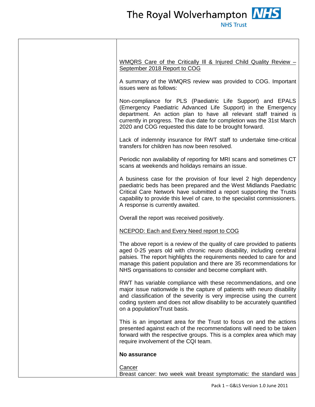| WMQRS Care of the Critically III & Injured Child Quality Review -<br>September 2018 Report to COG                                                                                                                                                                                                                                                              |
|----------------------------------------------------------------------------------------------------------------------------------------------------------------------------------------------------------------------------------------------------------------------------------------------------------------------------------------------------------------|
| A summary of the WMQRS review was provided to COG. Important<br>issues were as follows:                                                                                                                                                                                                                                                                        |
| Non-compliance for PLS (Paediatric Life Support) and EPALS<br>(Emergency Paediatric Advanced Life Support) in the Emergency<br>department. An action plan to have all relevant staff trained is<br>currently in progress. The due date for completion was the 31st March<br>2020 and COG requested this date to be brought forward.                            |
| Lack of indemnity insurance for RWT staff to undertake time-critical<br>transfers for children has now been resolved.                                                                                                                                                                                                                                          |
| Periodic non availability of reporting for MRI scans and sometimes CT<br>scans at weekends and holidays remains an issue.                                                                                                                                                                                                                                      |
| A business case for the provision of four level 2 high dependency<br>paediatric beds has been prepared and the West Midlands Paediatric<br>Critical Care Network have submitted a report supporting the Trusts<br>capability to provide this level of care, to the specialist commissioners.<br>A response is currently awaited.                               |
| Overall the report was received positively.                                                                                                                                                                                                                                                                                                                    |
| NCEPOD: Each and Every Need report to COG                                                                                                                                                                                                                                                                                                                      |
| The above report is a review of the quality of care provided to patients<br>aged 0-25 years old with chronic neuro disability, including cerebral<br>palsies. The report highlights the requirements needed to care for and<br>manage this patient population and there are 35 recommendations for<br>NHS organisations to consider and become compliant with. |
| RWT has variable compliance with these recommendations, and one<br>major issue nationwide is the capture of patients with neuro disability<br>and classification of the severity is very imprecise using the current<br>coding system and does not allow disability to be accurately quantified<br>on a population/Trust basis.                                |
| This is an important area for the Trust to focus on and the actions<br>presented against each of the recommendations will need to be taken<br>forward with the respective groups. This is a complex area which may<br>require involvement of the CQI team.                                                                                                     |
| No assurance                                                                                                                                                                                                                                                                                                                                                   |
| <b>Cancer</b><br>Breast cancer: two week wait breast symptomatic: the standard was                                                                                                                                                                                                                                                                             |